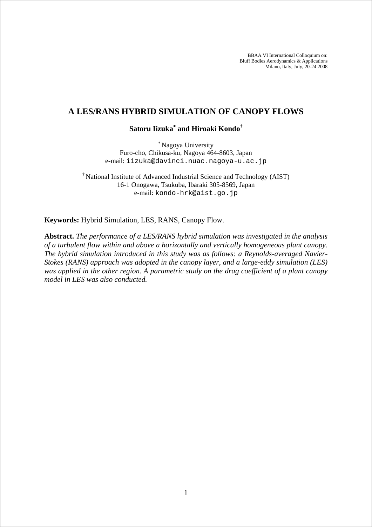BBAA VI International Colloquium on: Bluff Bodies Aerodynamics & Applications Milano, Italy, July, 20-24 2008

## **A LES/RANS HYBRID SIMULATION OF CANOPY FLOWS**

# **Satoru Iizuka**<sup>∗</sup>  **and Hiroaki Kondo†**

<sup>∗</sup> Nagoya University Furo-cho, Chikusa-ku, Nagoya 464-8603, Japan e-mail: iizuka@davinci.nuac.nagoya-u.ac.jp

† National Institute of Advanced Industrial Science and Technology (AIST) 16-1 Onogawa, Tsukuba, Ibaraki 305-8569, Japan e-mail: kondo-hrk@aist.go.jp

**Keywords:** Hybrid Simulation, LES, RANS, Canopy Flow.

**Abstract.** *The performance of a LES/RANS hybrid simulation was investigated in the analysis of a turbulent flow within and above a horizontally and vertically homogeneous plant canopy. The hybrid simulation introduced in this study was as follows: a Reynolds-averaged Navier-Stokes (RANS) approach was adopted in the canopy layer, and a large-eddy simulation (LES) was applied in the other region. A parametric study on the drag coefficient of a plant canopy model in LES was also conducted.*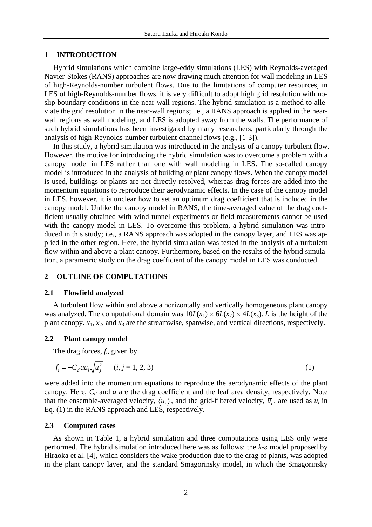## **1 INTRODUCTION**

Hybrid simulations which combine large-eddy simulations (LES) with Reynolds-averaged Navier-Stokes (RANS) approaches are now drawing much attention for wall modeling in LES of high-Reynolds-number turbulent flows. Due to the limitations of computer resources, in LES of high-Reynolds-number flows, it is very difficult to adopt high grid resolution with noslip boundary conditions in the near-wall regions. The hybrid simulation is a method to alleviate the grid resolution in the near-wall regions; i.e., a RANS approach is applied in the nearwall regions as wall modeling, and LES is adopted away from the walls. The performance of such hybrid simulations has been investigated by many researchers, particularly through the analysis of high-Reynolds-number turbulent channel flows (e.g., [1-3]).

In this study, a hybrid simulation was introduced in the analysis of a canopy turbulent flow. However, the motive for introducing the hybrid simulation was to overcome a problem with a canopy model in LES rather than one with wall modeling in LES. The so-called canopy model is introduced in the analysis of building or plant canopy flows. When the canopy model is used, buildings or plants are not directly resolved, whereas drag forces are added into the momentum equations to reproduce their aerodynamic effects. In the case of the canopy model in LES, however, it is unclear how to set an optimum drag coefficient that is included in the canopy model. Unlike the canopy model in RANS, the time-averaged value of the drag coefficient usually obtained with wind-tunnel experiments or field measurements cannot be used with the canopy model in LES. To overcome this problem, a hybrid simulation was introduced in this study; i.e., a RANS approach was adopted in the canopy layer, and LES was applied in the other region. Here, the hybrid simulation was tested in the analysis of a turbulent flow within and above a plant canopy. Furthermore, based on the results of the hybrid simulation, a parametric study on the drag coefficient of the canopy model in LES was conducted.

## **2 OUTLINE OF COMPUTATIONS**

## **2.1 Flowfield analyzed**

A turbulent flow within and above a horizontally and vertically homogeneous plant canopy was analyzed. The computational domain was  $10L(x_1) \times 6L(x_2) \times 4L(x_3)$ . *L* is the height of the plant canopy. *x*1, *x*2, and *x*3 are the streamwise, spanwise, and vertical directions, respectively.

## **2.2 Plant canopy model**

The drag forces, *fi*, given by

$$
f_i = -C_d a u_i \sqrt{u_j^2} \qquad (i, j = 1, 2, 3)
$$
 (1)

were added into the momentum equations to reproduce the aerodynamic effects of the plant canopy. Here,  $C_d$  and  $a$  are the drag coefficient and the leaf area density, respectively. Note that the ensemble-averaged velocity,  $\langle u_i \rangle$ , and the grid-filtered velocity,  $\overline{u}_i$ , are used as  $u_i$  in Eq. (1) in the RANS approach and LES, respectively.

### **2.3 Computed cases**

As shown in Table 1, a hybrid simulation and three computations using LES only were performed. The hybrid simulation introduced here was as follows: the *k*-ε model proposed by Hiraoka et al. [4], which considers the wake production due to the drag of plants, was adopted in the plant canopy layer, and the standard Smagorinsky model, in which the Smagorinsky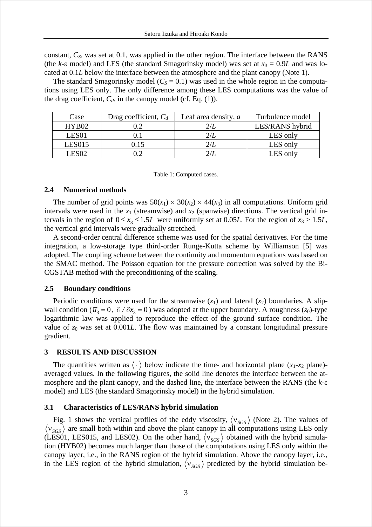constant, *CS*, was set at 0.1, was applied in the other region. The interface between the RANS (the  $k$ -ε model) and LES (the standard Smagorinsky model) was set at  $x_3 = 0.9L$  and was located at 0.1*L* below the interface between the atmosphere and the plant canopy (Note 1).

The standard Smagorinsky model ( $C_S = 0.1$ ) was used in the whole region in the computations using LES only. The only difference among these LES computations was the value of the drag coefficient,  $C_d$ , in the canopy model (cf. Eq. (1)).

| Case              | Drag coefficient, $C_d$ | Leaf area density, $a$ | Turbulence model |
|-------------------|-------------------------|------------------------|------------------|
| HYB02             |                         |                        | LES/RANS hybrid  |
| LES <sub>01</sub> |                         |                        | LES only         |
| <b>LES015</b>     | 0.15                    | 2/L                    | LES only         |
| LES02             |                         |                        | LES only         |

Table 1: Computed cases.

## **2.4 Numerical methods**

The number of grid points was  $50(x_1) \times 30(x_2) \times 44(x_3)$  in all computations. Uniform grid intervals were used in the  $x_1$  (streamwise) and  $x_2$  (spanwise) directions. The vertical grid intervals in the region of  $0 \le x_3 \le 1.5L$  were uniformly set at 0.05*L*. For the region of  $x_3 > 1.5L$ , the vertical grid intervals were gradually stretched.

A second-order central difference scheme was used for the spatial derivatives. For the time integration, a low-storage type third-order Runge-Kutta scheme by Williamson [5] was adopted. The coupling scheme between the continuity and momentum equations was based on the SMAC method. The Poisson equation for the pressure correction was solved by the Bi-CGSTAB method with the preconditioning of the scaling.

## **2.5 Boundary conditions**

Periodic conditions were used for the streamwise  $(x_1)$  and lateral  $(x_2)$  boundaries. A slipwall condition ( $\bar{u}_3 = 0$ ,  $\partial / \partial x_3 = 0$ ) was adopted at the upper boundary. A roughness ( $z_0$ )-type logarithmic law was applied to reproduce the effect of the ground surface condition. The value of  $z_0$  was set at  $0.001L$ . The flow was maintained by a constant longitudinal pressure gradient.

## **3 RESULTS AND DISCUSSION**

The quantities written as  $\langle \cdot \rangle$  below indicate the time- and horizontal plane  $(x_1-x_2)$  plane)averaged values. In the following figures, the solid line denotes the interface between the atmosphere and the plant canopy, and the dashed line, the interface between the RANS (the *k*-ε model) and LES (the standard Smagorinsky model) in the hybrid simulation.

## **3.1 Characteristics of LES/RANS hybrid simulation**

Fig. 1 shows the vertical profiles of the eddy viscosity,  $\langle v_{SGS} \rangle$  (Note 2). The values of  $\langle v_{SGS} \rangle$  are small both within and above the plant canopy in all computations using LES only (LES01, LES015, and LES02). On the other hand,  $\langle v_{SGS} \rangle$  obtained with the hybrid simulation (HYB02) becomes much larger than those of the computations using LES only within the canopy layer, i.e., in the RANS region of the hybrid simulation. Above the canopy layer, i.e., in the LES region of the hybrid simulation,  $\langle v_{SGS} \rangle$  predicted by the hybrid simulation be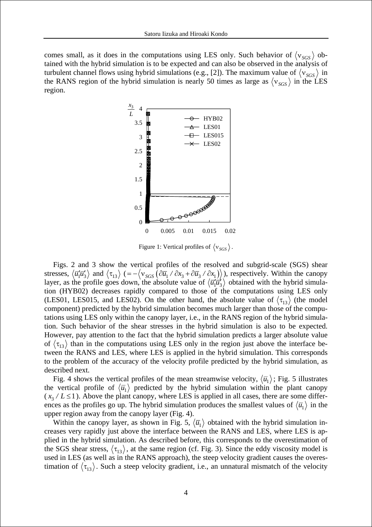comes small, as it does in the computations using LES only. Such behavior of  $\langle v_{SGS} \rangle$  obtained with the hybrid simulation is to be expected and can also be observed in the analysis of turbulent channel flows using hybrid simulations (e.g., [2]). The maximum value of  $\langle v_{SGS} \rangle$  in the RANS region of the hybrid simulation is nearly 50 times as large as  $\langle v_{SGS} \rangle$  in the LES region.



Figure 1: Vertical profiles of  $\langle v_{SGS} \rangle$ .

Figs. 2 and 3 show the vertical profiles of the resolved and subgrid-scale (SGS) shear stresses,  $\langle \vec{u_1} \vec{u_3} \rangle$  and  $\langle \tau_{13} \rangle$  (=  $-\langle v_{SGS} (\partial \vec{u_1} / \partial x_3 + \partial \vec{u_3} / \partial x_1) \rangle$ ), respectively. Within the canopy layer, as the profile goes down, the absolute value of  $\langle \overline{u'_1} \overline{u'_3} \rangle$  obtained with the hybrid simulation (HYB02) decreases rapidly compared to those of the computations using LES only (LES01, LES015, and LES02). On the other hand, the absolute value of  $\langle \tau_{13} \rangle$  (the model component) predicted by the hybrid simulation becomes much larger than those of the computations using LES only within the canopy layer, i.e., in the RANS region of the hybrid simulation. Such behavior of the shear stresses in the hybrid simulation is also to be expected. However, pay attention to the fact that the hybrid simulation predicts a larger absolute value of  $\langle \tau_{13} \rangle$  than in the computations using LES only in the region just above the interface between the RANS and LES, where LES is applied in the hybrid simulation. This corresponds to the problem of the accuracy of the velocity profile predicted by the hybrid simulation, as described next.

Fig. 4 shows the vertical profiles of the mean streamwise velocity,  $\langle \overline{u_1} \rangle$ ; Fig. 5 illustrates the vertical profile of  $\langle \overline{u}_1 \rangle$  predicted by the hybrid simulation within the plant canopy  $(x_2 / L \leq 1)$ . Above the plant canopy, where LES is applied in all cases, there are some differences as the profiles go up. The hybrid simulation produces the smallest values of  $\langle \bar{u}_1 \rangle$  in the upper region away from the canopy layer (Fig. 4).

Within the canopy layer, as shown in Fig. 5,  $\langle \overline{u}_1 \rangle$  obtained with the hybrid simulation increases very rapidly just above the interface between the RANS and LES, where LES is applied in the hybrid simulation. As described before, this corresponds to the overestimation of the SGS shear stress,  $\langle \tau_{13} \rangle$ , at the same region (cf. Fig. 3). Since the eddy viscosity model is used in LES (as well as in the RANS approach), the steep velocity gradient causes the overestimation of  $\langle \tau_{13} \rangle$ . Such a steep velocity gradient, i.e., an unnatural mismatch of the velocity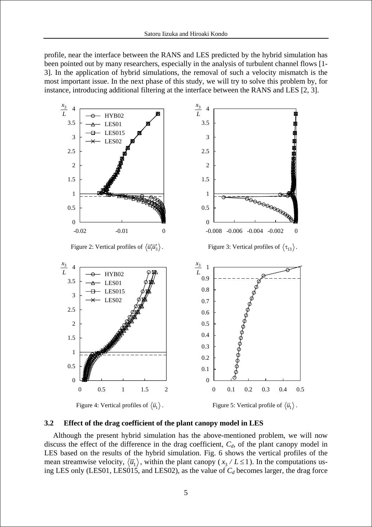profile, near the interface between the RANS and LES predicted by the hybrid simulation has been pointed out by many researchers, especially in the analysis of turbulent channel flows [1- 3]. In the application of hybrid simulations, the removal of such a velocity mismatch is the most important issue. In the next phase of this study, we will try to solve this problem by, for instance, introducing additional filtering at the interface between the RANS and LES [2, 3].



#### **3.2 Effect of the drag coefficient of the plant canopy model in LES**

Although the present hybrid simulation has the above-mentioned problem, we will now discuss the effect of the difference in the drag coefficient,  $C_d$ , of the plant canopy model in LES based on the results of the hybrid simulation. Fig. 6 shows the vertical profiles of the mean streamwise velocity,  $\langle \overline{u_1} \rangle$ , within the plant canopy ( $x_3 / L \le 1$ ). In the computations using LES only (LES01, LES015, and LES02), as the value of  $C_d$  becomes larger, the drag force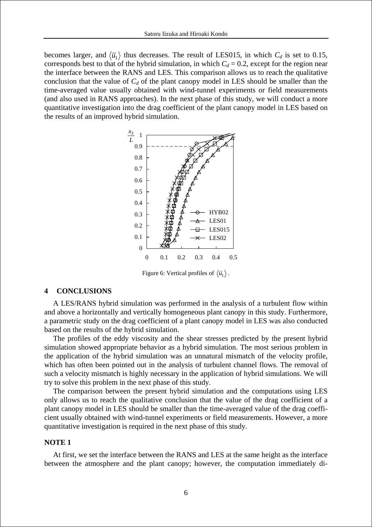becomes larger, and  $\langle \overline{u}_1 \rangle$  thus decreases. The result of LES015, in which  $C_d$  is set to 0.15, corresponds best to that of the hybrid simulation, in which  $C_d = 0.2$ , except for the region near the interface between the RANS and LES. This comparison allows us to reach the qualitative conclusion that the value of  $C_d$  of the plant canopy model in LES should be smaller than the time-averaged value usually obtained with wind-tunnel experiments or field measurements (and also used in RANS approaches). In the next phase of this study, we will conduct a more quantitative investigation into the drag coefficient of the plant canopy model in LES based on the results of an improved hybrid simulation.



Figure 6: Vertical profiles of  $\langle \overline{u}_1 \rangle$ .

### **4 CONCLUSIONS**

A LES/RANS hybrid simulation was performed in the analysis of a turbulent flow within and above a horizontally and vertically homogeneous plant canopy in this study. Furthermore, a parametric study on the drag coefficient of a plant canopy model in LES was also conducted based on the results of the hybrid simulation.

The profiles of the eddy viscosity and the shear stresses predicted by the present hybrid simulation showed appropriate behavior as a hybrid simulation. The most serious problem in the application of the hybrid simulation was an unnatural mismatch of the velocity profile, which has often been pointed out in the analysis of turbulent channel flows. The removal of such a velocity mismatch is highly necessary in the application of hybrid simulations. We will try to solve this problem in the next phase of this study.

The comparison between the present hybrid simulation and the computations using LES only allows us to reach the qualitative conclusion that the value of the drag coefficient of a plant canopy model in LES should be smaller than the time-averaged value of the drag coefficient usually obtained with wind-tunnel experiments or field measurements. However, a more quantitative investigation is required in the next phase of this study.

### **NOTE 1**

At first, we set the interface between the RANS and LES at the same height as the interface between the atmosphere and the plant canopy; however, the computation immediately di